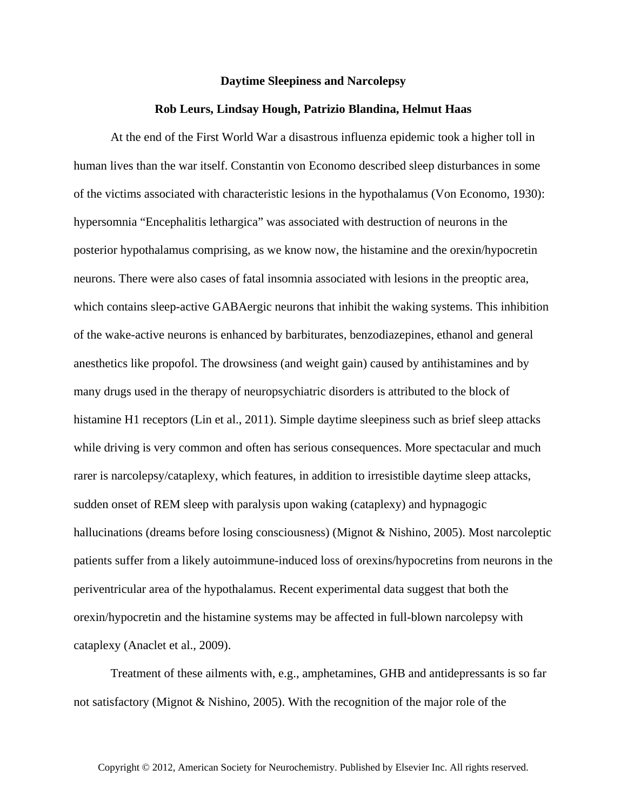## **Daytime Sleepiness and Narcolepsy**

## **Rob Leurs, Lindsay Hough, Patrizio Blandina, Helmut Haas**

At the end of the First World War a disastrous influenza epidemic took a higher toll in human lives than the war itself. Constantin von Economo described sleep disturbances in some of the victims associated with characteristic lesions in the hypothalamus (Von Economo, 1930): hypersomnia "Encephalitis lethargica" was associated with destruction of neurons in the posterior hypothalamus comprising, as we know now, the histamine and the orexin/hypocretin neurons. There were also cases of fatal insomnia associated with lesions in the preoptic area, which contains sleep-active GABAergic neurons that inhibit the waking systems. This inhibition of the wake-active neurons is enhanced by barbiturates, benzodiazepines, ethanol and general anesthetics like propofol. The drowsiness (and weight gain) caused by antihistamines and by many drugs used in the therapy of neuropsychiatric disorders is attributed to the block of histamine H1 receptors (Lin et al., 2011). Simple daytime sleepiness such as brief sleep attacks while driving is very common and often has serious consequences. More spectacular and much rarer is narcolepsy/cataplexy, which features, in addition to irresistible daytime sleep attacks, sudden onset of REM sleep with paralysis upon waking (cataplexy) and hypnagogic hallucinations (dreams before losing consciousness) (Mignot & Nishino, 2005). Most narcoleptic patients suffer from a likely autoimmune-induced loss of orexins/hypocretins from neurons in the periventricular area of the hypothalamus. Recent experimental data suggest that both the orexin/hypocretin and the histamine systems may be affected in full-blown narcolepsy with cataplexy (Anaclet et al., 2009).

Treatment of these ailments with, e.g., amphetamines, GHB and antidepressants is so far not satisfactory (Mignot & Nishino, 2005). With the recognition of the major role of the